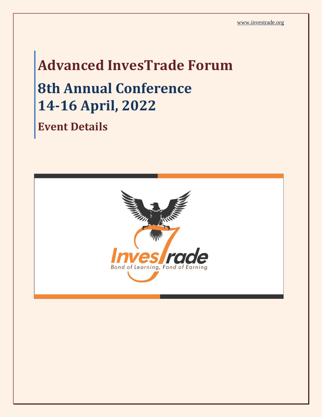# **Advanced InvesTrade Forum 8th Annual Conference 14-16 April, 2022 Event Details**

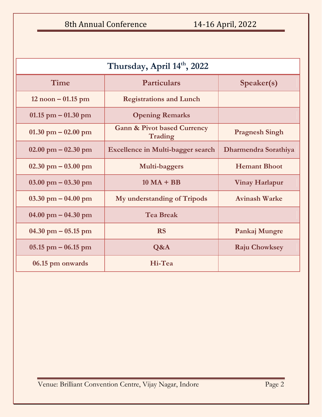| Thursday, April 14th, 2022            |                                                   |                       |  |
|---------------------------------------|---------------------------------------------------|-----------------------|--|
| Time                                  | <b>Particulars</b>                                | Speaker(s)            |  |
| $12$ noon $-01.15$ pm                 | <b>Registrations and Lunch</b>                    |                       |  |
| $01.15$ pm $-01.30$ pm                | <b>Opening Remarks</b>                            |                       |  |
| $01.30$ pm $-02.00$ pm                | <b>Gann &amp; Pivot based Currency</b><br>Trading | <b>Pragnesh Singh</b> |  |
| $02.00 \text{ pm} - 02.30 \text{ pm}$ | <b>Excellence in Multi-bagger search</b>          | Dharmendra Sorathiya  |  |
| $02.30 \text{ pm} - 03.00 \text{ pm}$ | Multi-baggers                                     | <b>Hemant Bhoot</b>   |  |
| $03.00 \text{ pm} - 03.30 \text{ pm}$ | $10 \text{ MA} + \text{BB}$                       | <b>Vinay Harlapur</b> |  |
| $03.30$ pm $-04.00$ pm                | My understanding of Tripods                       | <b>Avinash Warke</b>  |  |
| $04.00 \text{ pm} - 04.30 \text{ pm}$ | <b>Tea Break</b>                                  |                       |  |
| $04.30$ pm $-05.15$ pm                | <b>RS</b>                                         | Pankaj Mungre         |  |
| $05.15$ pm $-06.15$ pm                | Q&A                                               | <b>Raju Chowksey</b>  |  |
| 06.15 pm onwards                      | Hi-Tea                                            |                       |  |

Venue: Brilliant Convention Centre, Vijay Nagar, Indore Page 2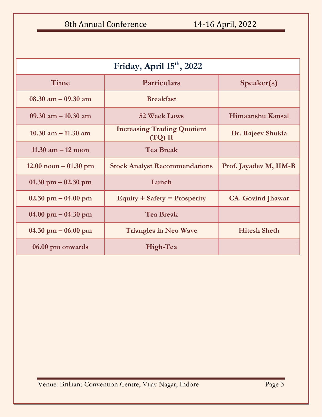8th Annual Conference 14-16 April, 2022

| Friday, April 15th, 2022                |                                               |                          |  |
|-----------------------------------------|-----------------------------------------------|--------------------------|--|
| Time                                    | <b>Particulars</b>                            | Speaker(s)               |  |
| $08.30$ am $-09.30$ am                  | <b>Breakfast</b>                              |                          |  |
| 09.30 am $-$ 10.30 am                   | 52 Week Lows                                  | Himaanshu Kansal         |  |
| 10.30 am $-$ 11.30 am                   | <b>Increasing Trading Quotient</b><br>(TQ) II | Dr. Rajeev Shukla        |  |
| $11.30$ am $-12$ noon                   | <b>Tea Break</b>                              |                          |  |
| $12.00 \text{ noon} - 01.30 \text{ pm}$ | <b>Stock Analyst Recommendations</b>          | Prof. Jayadev M, IIM-B   |  |
| $01.30$ pm $-02.30$ pm                  | Lunch                                         |                          |  |
| $02.30$ pm $-04.00$ pm                  | Equity $+$ Safety $=$ Prosperity              | <b>CA.</b> Govind Jhawar |  |
| $04.00 \text{ pm} - 04.30 \text{ pm}$   | <b>Tea Break</b>                              |                          |  |
| $04.30$ pm $-06.00$ pm                  | <b>Triangles in Neo Wave</b>                  | <b>Hitesh Sheth</b>      |  |
| 06.00 pm onwards                        | High-Tea                                      |                          |  |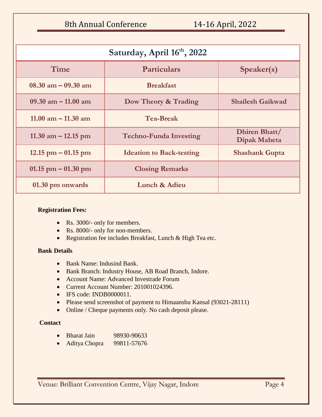8th Annual Conference 14-16 April, 2022

| Saturday, April 16th, 2022 |                                 |                               |  |
|----------------------------|---------------------------------|-------------------------------|--|
| Time                       | <b>Particulars</b>              | Speaker(s)                    |  |
| $08.30$ am $-09.30$ am     | <b>Breakfast</b>                |                               |  |
| 09.30 am $-$ 11.00 am      | Dow Theory & Trading            | <b>Shailesh Gaikwad</b>       |  |
| 11.00 am $-$ 11.30 am      | <b>Tea-Break</b>                |                               |  |
| 11.30 am $-$ 12.15 pm      | <b>Techno-Funda Investing</b>   | Dhiren Bhatt/<br>Dipak Maheta |  |
| $12.15$ pm $-01.15$ pm     | <b>Ideation to Back-testing</b> | <b>Shashank Gupta</b>         |  |
| $01.15$ pm $-01.30$ pm     | <b>Closing Remarks</b>          |                               |  |
| 01.30 pm onwards           | Lunch & Adieu                   |                               |  |

#### **Registration Fees:**

- Rs. 3000/- only for members.
- Rs. 8000/- only for non-members.
- Registration fee includes Breakfast, Lunch & High Tea etc.

### **Bank Details**

- Bank Name: Indusind Bank.
- Bank Branch: Industry House, AB Road Branch, Indore.
- Account Name: Advanced Investrade Forum
- Current Account Number: 201001024396.
- IFS code: INDB0000011.
- Please send screenshot of payment to Himaanshu Kansal (93021-28111)
- Online / Cheque payments only. No cash deposit please.

### **Contact**

- Bharat Jain 98930-90633
- Aditya Chopra 99811-57676